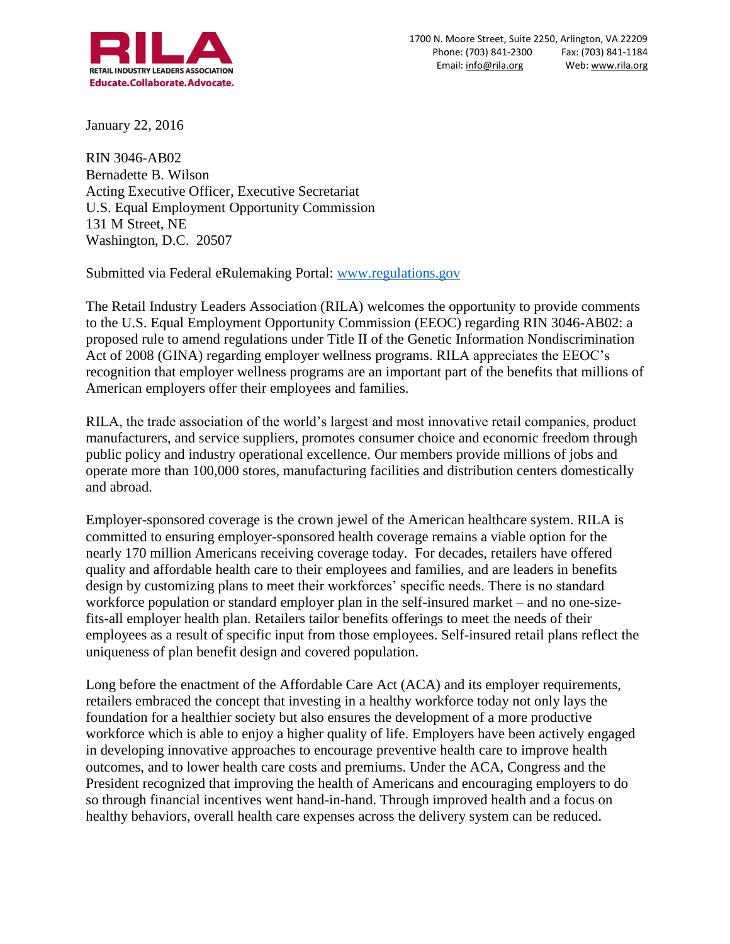

January 22, 2016

RIN 3046-AB02 Bernadette B. Wilson Acting Executive Officer, Executive Secretariat U.S. Equal Employment Opportunity Commission 131 M Street, NE Washington, D.C. 20507

Submitted via Federal eRulemaking Portal: [www.regulations.gov](http://www.regulations.gov/)

The Retail Industry Leaders Association (RILA) welcomes the opportunity to provide comments to the U.S. Equal Employment Opportunity Commission (EEOC) regarding RIN 3046-AB02: a proposed rule to amend regulations under Title II of the Genetic Information Nondiscrimination Act of 2008 (GINA) regarding employer wellness programs. RILA appreciates the EEOC's recognition that employer wellness programs are an important part of the benefits that millions of American employers offer their employees and families.

RILA, the trade association of the world's largest and most innovative retail companies, product manufacturers, and service suppliers, promotes consumer choice and economic freedom through public policy and industry operational excellence. Our members provide millions of jobs and operate more than 100,000 stores, manufacturing facilities and distribution centers domestically and abroad.

Employer-sponsored coverage is the crown jewel of the American healthcare system. RILA is committed to ensuring employer-sponsored health coverage remains a viable option for the nearly 170 million Americans receiving coverage today. For decades, retailers have offered quality and affordable health care to their employees and families, and are leaders in benefits design by customizing plans to meet their workforces' specific needs. There is no standard workforce population or standard employer plan in the self-insured market – and no one-sizefits-all employer health plan. Retailers tailor benefits offerings to meet the needs of their employees as a result of specific input from those employees. Self-insured retail plans reflect the uniqueness of plan benefit design and covered population.

Long before the enactment of the Affordable Care Act (ACA) and its employer requirements, retailers embraced the concept that investing in a healthy workforce today not only lays the foundation for a healthier society but also ensures the development of a more productive workforce which is able to enjoy a higher quality of life. Employers have been actively engaged in developing innovative approaches to encourage preventive health care to improve health outcomes, and to lower health care costs and premiums. Under the ACA, Congress and the President recognized that improving the health of Americans and encouraging employers to do so through financial incentives went hand-in-hand. Through improved health and a focus on healthy behaviors, overall health care expenses across the delivery system can be reduced.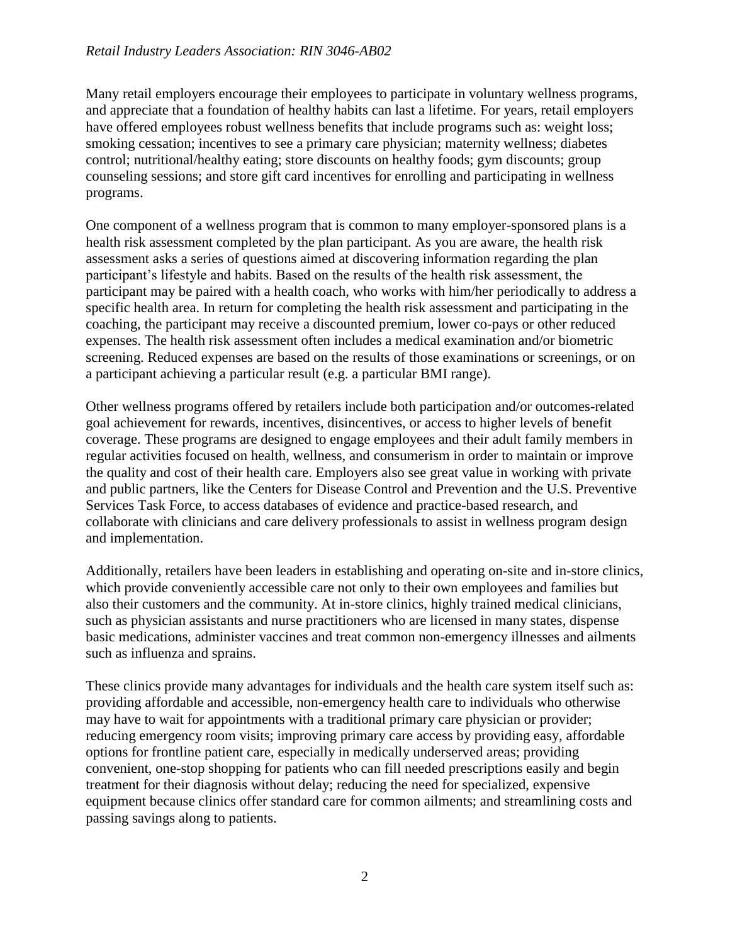Many retail employers encourage their employees to participate in voluntary wellness programs, and appreciate that a foundation of healthy habits can last a lifetime. For years, retail employers have offered employees robust wellness benefits that include programs such as: weight loss; smoking cessation; incentives to see a primary care physician; maternity wellness; diabetes control; nutritional/healthy eating; store discounts on healthy foods; gym discounts; group counseling sessions; and store gift card incentives for enrolling and participating in wellness programs.

One component of a wellness program that is common to many employer-sponsored plans is a health risk assessment completed by the plan participant. As you are aware, the health risk assessment asks a series of questions aimed at discovering information regarding the plan participant's lifestyle and habits. Based on the results of the health risk assessment, the participant may be paired with a health coach, who works with him/her periodically to address a specific health area. In return for completing the health risk assessment and participating in the coaching, the participant may receive a discounted premium, lower co-pays or other reduced expenses. The health risk assessment often includes a medical examination and/or biometric screening. Reduced expenses are based on the results of those examinations or screenings, or on a participant achieving a particular result (e.g. a particular BMI range).

Other wellness programs offered by retailers include both participation and/or outcomes-related goal achievement for rewards, incentives, disincentives, or access to higher levels of benefit coverage. These programs are designed to engage employees and their adult family members in regular activities focused on health, wellness, and consumerism in order to maintain or improve the quality and cost of their health care. Employers also see great value in working with private and public partners, like the Centers for Disease Control and Prevention and the U.S. Preventive Services Task Force, to access databases of evidence and practice-based research, and collaborate with clinicians and care delivery professionals to assist in wellness program design and implementation.

Additionally, retailers have been leaders in establishing and operating on-site and in-store clinics, which provide conveniently accessible care not only to their own employees and families but also their customers and the community. At in-store clinics, highly trained medical clinicians, such as physician assistants and nurse practitioners who are licensed in many states, dispense basic medications, administer vaccines and treat common non-emergency illnesses and ailments such as influenza and sprains.

These clinics provide many advantages for individuals and the health care system itself such as: providing affordable and accessible, non-emergency health care to individuals who otherwise may have to wait for appointments with a traditional primary care physician or provider; reducing emergency room visits; improving primary care access by providing easy, affordable options for frontline patient care, especially in medically underserved areas; providing convenient, one-stop shopping for patients who can fill needed prescriptions easily and begin treatment for their diagnosis without delay; reducing the need for specialized, expensive equipment because clinics offer standard care for common ailments; and streamlining costs and passing savings along to patients.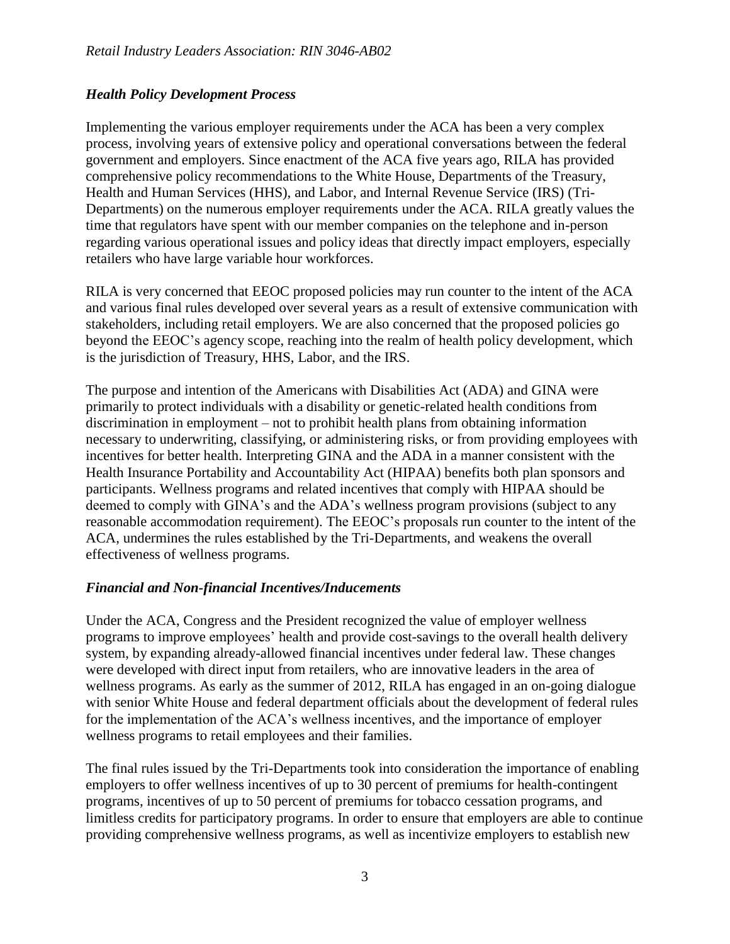## *Health Policy Development Process*

Implementing the various employer requirements under the ACA has been a very complex process, involving years of extensive policy and operational conversations between the federal government and employers. Since enactment of the ACA five years ago, RILA has provided comprehensive policy recommendations to the White House, Departments of the Treasury, Health and Human Services (HHS), and Labor, and Internal Revenue Service (IRS) (Tri-Departments) on the numerous employer requirements under the ACA. RILA greatly values the time that regulators have spent with our member companies on the telephone and in-person regarding various operational issues and policy ideas that directly impact employers, especially retailers who have large variable hour workforces.

RILA is very concerned that EEOC proposed policies may run counter to the intent of the ACA and various final rules developed over several years as a result of extensive communication with stakeholders, including retail employers. We are also concerned that the proposed policies go beyond the EEOC's agency scope, reaching into the realm of health policy development, which is the jurisdiction of Treasury, HHS, Labor, and the IRS.

The purpose and intention of the Americans with Disabilities Act (ADA) and GINA were primarily to protect individuals with a disability or genetic-related health conditions from discrimination in employment – not to prohibit health plans from obtaining information necessary to underwriting, classifying, or administering risks, or from providing employees with incentives for better health. Interpreting GINA and the ADA in a manner consistent with the Health Insurance Portability and Accountability Act (HIPAA) benefits both plan sponsors and participants. Wellness programs and related incentives that comply with HIPAA should be deemed to comply with GINA's and the ADA's wellness program provisions (subject to any reasonable accommodation requirement). The EEOC's proposals run counter to the intent of the ACA, undermines the rules established by the Tri-Departments, and weakens the overall effectiveness of wellness programs.

## *Financial and Non-financial Incentives/Inducements*

Under the ACA, Congress and the President recognized the value of employer wellness programs to improve employees' health and provide cost-savings to the overall health delivery system, by expanding already-allowed financial incentives under federal law. These changes were developed with direct input from retailers, who are innovative leaders in the area of wellness programs. As early as the summer of 2012, RILA has engaged in an on-going dialogue with senior White House and federal department officials about the development of federal rules for the implementation of the ACA's wellness incentives, and the importance of employer wellness programs to retail employees and their families.

The final rules issued by the Tri-Departments took into consideration the importance of enabling employers to offer wellness incentives of up to 30 percent of premiums for health-contingent programs, incentives of up to 50 percent of premiums for tobacco cessation programs, and limitless credits for participatory programs. In order to ensure that employers are able to continue providing comprehensive wellness programs, as well as incentivize employers to establish new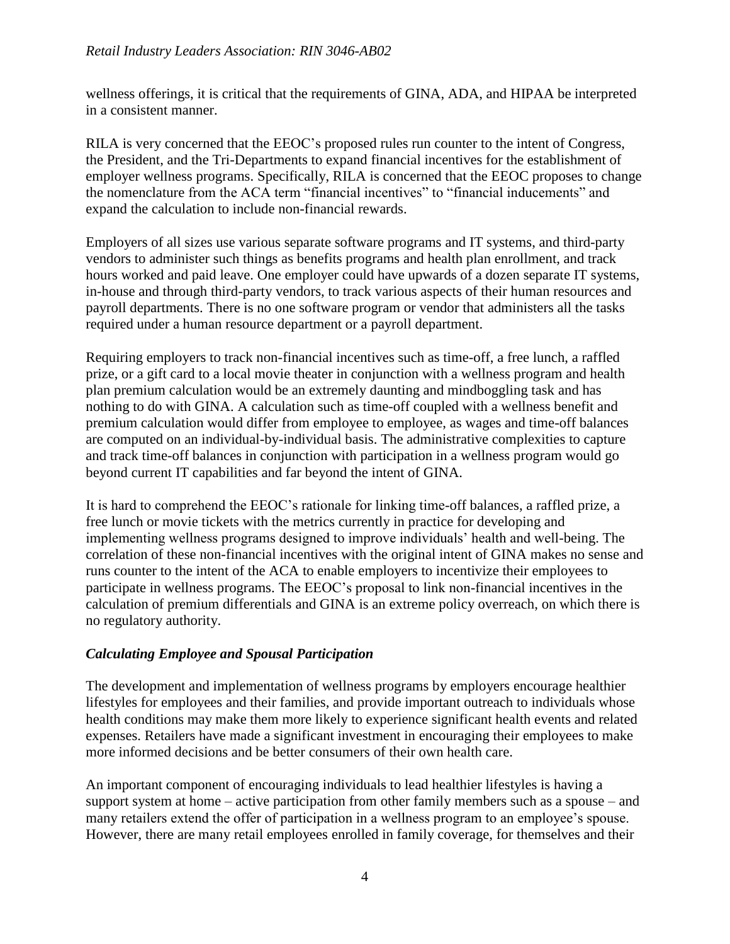wellness offerings, it is critical that the requirements of GINA, ADA, and HIPAA be interpreted in a consistent manner.

RILA is very concerned that the EEOC's proposed rules run counter to the intent of Congress, the President, and the Tri-Departments to expand financial incentives for the establishment of employer wellness programs. Specifically, RILA is concerned that the EEOC proposes to change the nomenclature from the ACA term "financial incentives" to "financial inducements" and expand the calculation to include non-financial rewards.

Employers of all sizes use various separate software programs and IT systems, and third-party vendors to administer such things as benefits programs and health plan enrollment, and track hours worked and paid leave. One employer could have upwards of a dozen separate IT systems, in-house and through third-party vendors, to track various aspects of their human resources and payroll departments. There is no one software program or vendor that administers all the tasks required under a human resource department or a payroll department.

Requiring employers to track non-financial incentives such as time-off, a free lunch, a raffled prize, or a gift card to a local movie theater in conjunction with a wellness program and health plan premium calculation would be an extremely daunting and mindboggling task and has nothing to do with GINA. A calculation such as time-off coupled with a wellness benefit and premium calculation would differ from employee to employee, as wages and time-off balances are computed on an individual-by-individual basis. The administrative complexities to capture and track time-off balances in conjunction with participation in a wellness program would go beyond current IT capabilities and far beyond the intent of GINA.

It is hard to comprehend the EEOC's rationale for linking time-off balances, a raffled prize, a free lunch or movie tickets with the metrics currently in practice for developing and implementing wellness programs designed to improve individuals' health and well-being. The correlation of these non-financial incentives with the original intent of GINA makes no sense and runs counter to the intent of the ACA to enable employers to incentivize their employees to participate in wellness programs. The EEOC's proposal to link non-financial incentives in the calculation of premium differentials and GINA is an extreme policy overreach, on which there is no regulatory authority.

## *Calculating Employee and Spousal Participation*

The development and implementation of wellness programs by employers encourage healthier lifestyles for employees and their families, and provide important outreach to individuals whose health conditions may make them more likely to experience significant health events and related expenses. Retailers have made a significant investment in encouraging their employees to make more informed decisions and be better consumers of their own health care.

An important component of encouraging individuals to lead healthier lifestyles is having a support system at home – active participation from other family members such as a spouse – and many retailers extend the offer of participation in a wellness program to an employee's spouse. However, there are many retail employees enrolled in family coverage, for themselves and their